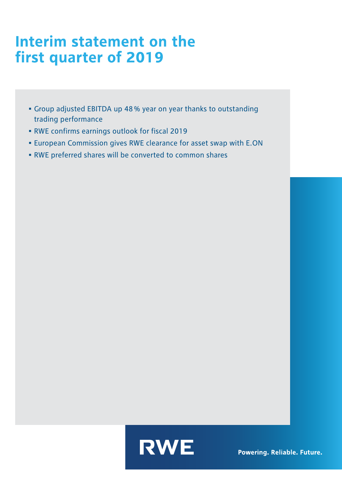## Interim statement on the first quarter of 2019

- Group adjusted EBITDA up 48% year on year thanks to outstanding trading performance
- RWE confirms earnings outlook for fiscal 2019
- European Commission gives RWE clearance for asset swap with E.ON
- RWE preferred shares will be converted to common shares

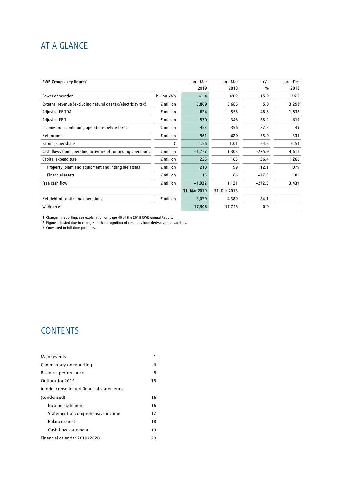### AT A GLANCE

| RWE Group – key figures <sup>1</sup>                          |                    | Jan - Mar      | Jan - Mar   | $+/-$    | Jan - Dec           |
|---------------------------------------------------------------|--------------------|----------------|-------------|----------|---------------------|
|                                                               |                    | 2019           | 2018        | %        | 2018                |
| Power generation                                              | billion kWh        | 41.4           | 49.2        | $-15.9$  | 176.0               |
| External revenue (excluding natural gas tax/electricity tax)  | $\epsilon$ million | 3,869          | 3,685       | 5.0      | 13,298 <sup>2</sup> |
| <b>Adjusted EBITDA</b>                                        | $\epsilon$ million | 824            | 555         | 48.5     | 1,538               |
| <b>Adjusted EBIT</b>                                          | $\epsilon$ million | 570            | 345         | 65.2     | 619                 |
| Income from continuing operations before taxes                | $\epsilon$ million | 453            | 356         | 27.2     | 49                  |
| Net income                                                    | $\epsilon$ million | 961            | 620         | 55.0     | 335                 |
| Earnings per share                                            | €                  | 1.56           | 1.01        | 54.5     | 0.54                |
| Cash flows from operating activities of continuing operations | $\epsilon$ million | $-1,777$       | 1,308       | $-235.9$ | 4,611               |
| Capital expenditure                                           | $\epsilon$ million | 225            | 165         | 36.4     | 1,260               |
| Property, plant and equipment and intangible assets           | $\epsilon$ million | 210            | 99          | 112.1    | 1,079               |
| <b>Financial assets</b>                                       | $\epsilon$ million | 15             | 66          | $-77.3$  | 181                 |
| Free cash flow                                                | $\epsilon$ million | $-1,932$       | 1,121       | $-272.3$ | 3,439               |
|                                                               |                    | Mar 2019<br>31 | 31 Dec 2018 |          |                     |
| Net debt of continuing operations                             | $\epsilon$ million | 8,079          | 4,389       | 84.1     |                     |
| Workforce <sup>3</sup>                                        |                    | 17,908         | 17,748      | 0.9      |                     |

1 Change in reporting; see explanation on page 40 of the 2018 RWE Annual Report.

2 Figure adjusted due to changes in the recognition of revenues from derivative transactions.

3 Converted to full-time positions.

### **CONTENTS**

| Major events                              |    |
|-------------------------------------------|----|
| Commentary on reporting                   | 6  |
| <b>Business performance</b>               | 8  |
| Outlook for 2019                          | 15 |
| Interim consolidated financial statements |    |
| (condensed)                               | 16 |
| Income statement                          | 16 |
| Statement of comprehensive income         | 17 |
| <b>Balance sheet</b>                      | 18 |
| Cash flow statement                       | 19 |
| Financial calendar 2019/2020              | 20 |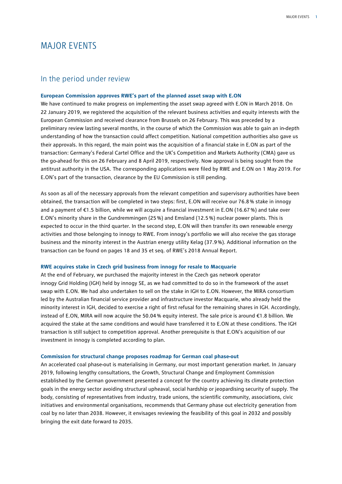### MAJOR EVENTS

### In the period under review

#### **European Commission approves RWE's part of the planned asset swap with E.ON**

We have continued to make progress on implementing the asset swap agreed with E.ON in March 2018. On 22 January 2019, we registered the acquisition of the relevant business activities and equity interests with the European Commission and received clearance from Brussels on 26 February. This was preceded by a preliminary review lasting several months, in the course of which the Commission was able to gain an in-depth understanding of how the transaction could affect competition. National competition authorities also gave us their approvals. In this regard, the main point was the acquisition of a financial stake in E.ON as part of the transaction: Germany's Federal Cartel Office and the UK's Competition and Markets Authority (CMA) gave us the go-ahead for this on 26 February and 8 April 2019, respectively. Now approval is being sought from the antitrust authority in the USA. The corresponding applications were filed by RWE and E.ON on 1 May 2019. For E.ON's part of the transaction, clearance by the EU Commission is still pending.

As soon as all of the necessary approvals from the relevant competition and supervisory authorities have been obtained, the transaction will be completed in two steps: first, E.ON will receive our 76.8% stake in innogy and a payment of €1.5 billion, while we will acquire a financial investment in E.ON (16.67%) and take over E.ON's minority share in the Gundremmingen (25%) and Emsland (12.5%) nuclear power plants. This is expected to occur in the third quarter. In the second step, E.ON will then transfer its own renewable energy activities and those belonging to innogy to RWE. From innogy's portfolio we will also receive the gas storage business and the minority interest in the Austrian energy utility Kelag (37.9%). Additional information on the transaction can be found on pages 18 and 35 et seq. of RWE's 2018 Annual Report.

### **RWE acquires stake in Czech grid business from innogy for resale to Macquarie**

At the end of February, we purchased the majority interest in the Czech gas network operator innogy Grid Holding (IGH) held by innogy SE, as we had committed to do so in the framework of the asset swap with E.ON. We had also undertaken to sell on the stake in IGH to E.ON. However, the MIRA consortium led by the Australian financial service provider and infrastructure investor Macquarie, who already held the minority interest in IGH, decided to exercise a right of first refusal for the remaining shares in IGH. Accordingly, instead of E.ON, MIRA will now acquire the 50.04% equity interest. The sale price is around €1.8 billion. We acquired the stake at the same conditions and would have transferred it to E.ON at these conditions. The IGH transaction is still subject to competition approval. Another prerequisite is that E.ON's acquisition of our investment in innogy is completed according to plan.

#### **Commission for structural change proposes roadmap for German coal phase-out**

An accelerated coal phase-out is materialising in Germany, our most important generation market. In January 2019, following lengthy consultations, the Growth, Structural Change and Employment Commission established by the German government presented a concept for the country achieving its climate protection goals in the energy sector avoiding structural upheaval, social hardship or jeopardising security of supply. The body, consisting of representatives from industry, trade unions, the scientific community, associations, civic initiatives and environmental organisations, recommends that Germany phase out electricity generation from coal by no later than 2038. However, it envisages reviewing the feasibility of this goal in 2032 and possibly bringing the exit date forward to 2035.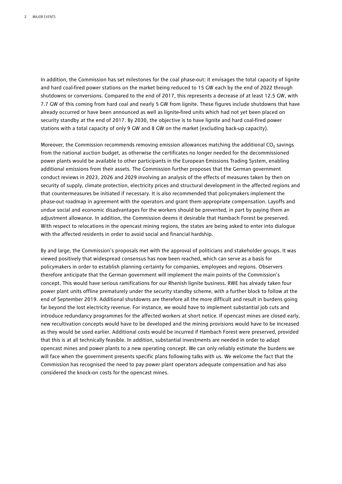In addition, the Commission has set milestones for the coal phase-out: it envisages the total capacity of lignite and hard coal-fired power stations on the market being reduced to 15 GW each by the end of 2022 through shutdowns or conversions. Compared to the end of 2017, this represents a decrease of at least 12.5 GW, with 7.7 GW of this coming from hard coal and nearly 5 GW from lignite. These figures include shutdowns that have already occurred or have been announced as well as lignite-fired units which had not yet been placed on security standby at the end of 2017. By 2030, the objective is to have lignite and hard coal-fired power stations with a total capacity of only 9 GW and 8 GW on the market (excluding back-up capacity).

Moreover, the Commission recommends removing emission allowances matching the additional  $CO<sub>2</sub>$  savings from the national auction budget, as otherwise the certificates no longer needed for the decommissioned power plants would be available to other participants in the European Emissions Trading System, enabling additional emissions from their assets. The Commission further proposes that the German government conduct reviews in 2023, 2026 and 2029 involving an analysis of the effects of measures taken by then on security of supply, climate protection, electricity prices and structural development in the affected regions and that countermeasures be initiated if necessary. It is also recommended that policymakers implement the phase-out roadmap in agreement with the operators and grant them appropriate compensation. Layoffs and undue social and economic disadvantages for the workers should be prevented, in part by paying them an adjustment allowance. In addition, the Commission deems it desirable that Hambach Forest be preserved. With respect to relocations in the opencast mining regions, the states are being asked to enter into dialogue with the affected residents in order to avoid social and financial hardship.

By and large, the Commission's proposals met with the approval of politicians and stakeholder groups. It was viewed positively that widespread consensus has now been reached, which can serve as a basis for policymakers in order to establish planning certainty for companies, employees and regions. Observers therefore anticipate that the German government will implement the main points of the Commission's concept. This would have serious ramifications for our Rhenish lignite business. RWE has already taken four power plant units offline prematurely under the security standby scheme, with a further block to follow at the end of September 2019. Additional shutdowns are therefore all the more difficult and result in burdens going far beyond the lost electricity revenue. For instance, we would have to implement substantial job cuts and introduce redundancy programmes for the affected workers at short notice. If opencast mines are closed early, new recultivation concepts would have to be developed and the mining provisions would have to be increased as they would be used earlier. Additional costs would be incurred if Hambach Forest were preserved, provided that this is at all technically feasible. In addition, substantial investments are needed in order to adapt opencast mines and power plants to a new operating concept. We can only reliably estimate the burdens we will face when the government presents specific plans following talks with us. We welcome the fact that the Commission has recognised the need to pay power plant operators adequate compensation and has also considered the knock-on costs for the opencast mines.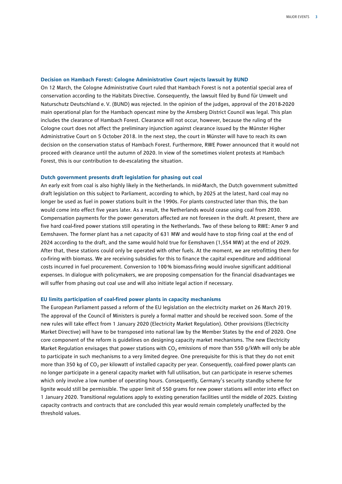#### **Decision on Hambach Forest: Cologne Administrative Court rejects lawsuit by BUND**

On 12 March, the Cologne Administrative Court ruled that Hambach Forest is not a potential special area of conservation according to the Habitats Directive. Consequently, the lawsuit filed by Bund für Umwelt und Naturschutz Deutschland e.V. (BUND) was rejected. In the opinion of the judges, approval of the 2018-2020 main operational plan for the Hambach opencast mine by the Arnsberg District Council was legal. This plan includes the clearance of Hambach Forest. Clearance will not occur, however, because the ruling of the Cologne court does not affect the preliminary injunction against clearance issued by the Münster Higher Administrative Court on 5 October 2018. In the next step, the court in Münster will have to reach its own decision on the conservation status of Hambach Forest. Furthermore, RWE Power announced that it would not proceed with clearance until the autumn of 2020. In view of the sometimes violent protests at Hambach Forest, this is our contribution to de-escalating the situation.

### **Dutch government presents draft legislation for phasing out coal**

An early exit from coal is also highly likely in the Netherlands. In mid-March, the Dutch government submitted draft legislation on this subject to Parliament, according to which, by 2025 at the latest, hard coal may no longer be used as fuel in power stations built in the 1990s. For plants constructed later than this, the ban would come into effect five years later. As a result, the Netherlands would cease using coal from 2030. Compensation payments for the power generators affected are not foreseen in the draft. At present, there are five hard coal-fired power stations still operating in the Netherlands. Two of these belong to RWE: Amer 9 and Eemshaven. The former plant has a net capacity of 631 MW and would have to stop firing coal at the end of 2024 according to the draft, and the same would hold true for Eemshaven (1,554 MW) at the end of 2029. After that, these stations could only be operated with other fuels. At the moment, we are retrofitting them for co-firing with biomass. We are receiving subsidies for this to finance the capital expenditure and additional costs incurred in fuel procurement. Conversion to 100% biomass-firing would involve significant additional expenses. In dialogue with policymakers, we are proposing compensation for the financial disadvantages we will suffer from phasing out coal use and will also initiate legal action if necessary.

#### **EU limits participation of coal-fired power plants in capacity mechanisms**

The European Parliament passed a reform of the EU legislation on the electricity market on 26 March 2019. The approval of the Council of Ministers is purely a formal matter and should be received soon. Some of the new rules will take effect from 1 January 2020 (Electricity Market Regulation). Other provisions (Electricity Market Directive) will have to be transposed into national law by the Member States by the end of 2020. One core component of the reform is guidelines on designing capacity market mechanisms. The new Electricity Market Regulation envisages that power stations with  $CO<sub>2</sub>$  emissions of more than 550 g/kWh will only be able to participate in such mechanisms to a very limited degree. One prerequisite for this is that they do not emit more than 350 kg of CO<sub>2</sub> per kilowatt of installed capacity per year. Consequently, coal-fired power plants can no longer participate in a general capacity market with full utilisation, but can participate in reserve schemes which only involve a low number of operating hours. Consequently, Germany's security standby scheme for lignite would still be permissible. The upper limit of 550 grams for new power stations will enter into effect on 1 January 2020. Transitional regulations apply to existing generation facilities until the middle of 2025. Existing capacity contracts and contracts that are concluded this year would remain completely unaffected by the threshold values.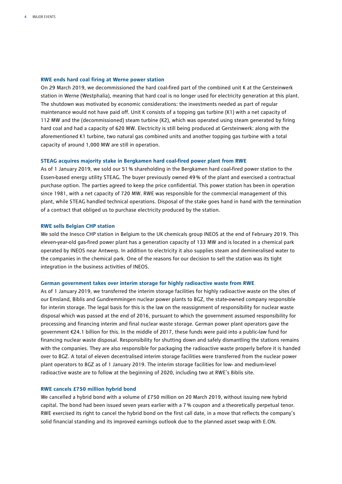### **RWE ends hard coal firing at Werne power station**

On 29 March 2019, we decommissioned the hard coal-fired part of the combined unit K at the Gersteinwerk station in Werne (Westphalia), meaning that hard coal is no longer used for electricity generation at this plant. The shutdown was motivated by economic considerations: the investments needed as part of regular maintenance would not have paid off. Unit K consists of a topping gas turbine (K1) with a net capacity of 112 MW and the (decommissioned) steam turbine (K2), which was operated using steam generated by firing hard coal and had a capacity of 620 MW. Electricity is still being produced at Gersteinwerk: along with the aforementioned K1 turbine, two natural gas combined units and another topping gas turbine with a total capacity of around 1,000 MW are still in operation.

### **STEAG acquires majority stake in Bergkamen hard coal-fired power plant from RWE**

As of 1 January 2019, we sold our 51% shareholding in the Bergkamen hard coal-fired power station to the Essen-based energy utility STEAG. The buyer previously owned 49% of the plant and exercised a contractual purchase option. The parties agreed to keep the price confidential. This power station has been in operation since 1981, with a net capacity of 720 MW. RWE was responsible for the commercial management of this plant, while STEAG handled technical operations. Disposal of the stake goes hand in hand with the termination of a contract that obliged us to purchase electricity produced by the station.

### **RWE sells Belgian CHP station**

We sold the Inesco CHP station in Belgium to the UK chemicals group INEOS at the end of February 2019. This eleven-year-old gas-fired power plant has a generation capacity of 133 MW and is located in a chemical park operated by INEOS near Antwerp. In addition to electricity it also supplies steam and demineralised water to the companies in the chemical park. One of the reasons for our decision to sell the station was its tight integration in the business activities of INEOS.

#### **German government takes over interim storage for highly radioactive waste from RWE**

As of 1 January 2019, we transferred the interim storage facilities for highly radioactive waste on the sites of our Emsland, Biblis and Gundremmingen nuclear power plants to BGZ, the state-owned company responsible for interim storage. The legal basis for this is the law on the reassignment of responsibility for nuclear waste disposal which was passed at the end of 2016, pursuant to which the government assumed responsibility for processing and financing interim and final nuclear waste storage. German power plant operators gave the government €24.1 billion for this. In the middle of 2017, these funds were paid into a public-law fund for financing nuclear waste disposal. Responsibility for shutting down and safely dismantling the stations remains with the companies. They are also responsible for packaging the radioactive waste properly before it is handed over to BGZ. A total of eleven decentralised interim storage facilities were transferred from the nuclear power plant operators to BGZ as of 1 January 2019. The interim storage facilities for low- and medium-level radioactive waste are to follow at the beginning of 2020, including two at RWE's Biblis site.

### **RWE cancels £750 million hybrid bond**

We cancelled a hybrid bond with a volume of £750 million on 20 March 2019, without issuing new hybrid capital. The bond had been issued seven years earlier with a 7% coupon and a theoretically perpetual tenor. RWE exercised its right to cancel the hybrid bond on the first call date, in a move that reflects the company's solid financial standing and its improved earnings outlook due to the planned asset swap with E.ON.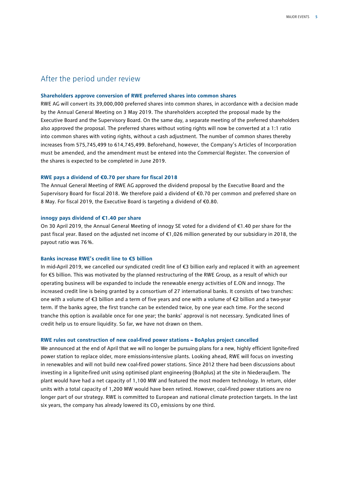### After the period under review

#### **Shareholders approve conversion of RWE preferred shares into common shares**

RWE AG will convert its 39,000,000 preferred shares into common shares, in accordance with a decision made by the Annual General Meeting on 3 May 2019. The shareholders accepted the proposal made by the Executive Board and the Supervisory Board. On the same day, a separate meeting of the preferred shareholders also approved the proposal. The preferred shares without voting rights will now be converted at a 1:1 ratio into common shares with voting rights, without a cash adjustment. The number of common shares thereby increases from 575,745,499 to 614,745,499. Beforehand, however, the Company's Articles of Incorporation must be amended, and the amendment must be entered into the Commercial Register. The conversion of the shares is expected to be completed in June 2019.

### **RWE pays a dividend of €0.70 per share for fiscal 2018**

The Annual General Meeting of RWE AG approved the dividend proposal by the Executive Board and the Supervisory Board for fiscal 2018. We therefore paid a dividend of €0.70 per common and preferred share on 8 May. For fiscal 2019, the Executive Board is targeting a dividend of €0.80.

### **innogy pays dividend of €1.40 per share**

On 30 April 2019, the Annual General Meeting of innogy SE voted for a dividend of €1.40 per share for the past fiscal year. Based on the adjusted net income of €1,026 million generated by our subsidiary in 2018, the payout ratio was 76%.

#### **Banks increase RWE's credit line to €5 billion**

In mid-April 2019, we cancelled our syndicated credit line of €3 billion early and replaced it with an agreement for €5 billion. This was motivated by the planned restructuring of the RWE Group, as a result of which our operating business will be expanded to include the renewable energy activities of E.ON and innogy. The increased credit line is being granted by a consortium of 27 international banks. It consists of two tranches: one with a volume of €3 billion and a term of five years and one with a volume of €2 billion and a two-year term. If the banks agree, the first tranche can be extended twice, by one year each time. For the second tranche this option is available once for one year; the banks' approval is not necessary. Syndicated lines of credit help us to ensure liquidity. So far, we have not drawn on them.

#### **RWE rules out construction of new coal-fired power stations – BoAplus project cancelled**

We announced at the end of April that we will no longer be pursuing plans for a new, highly efficient lignite-fired power station to replace older, more emissions-intensive plants. Looking ahead, RWE will focus on investing in renewables and will not build new coal-fired power stations. Since 2012 there had been discussions about investing in a lignite-fired unit using optimised plant engineering (BoAplus) at the site in Niederaußem. The plant would have had a net capacity of 1,100 MW and featured the most modern technology. In return, older units with a total capacity of 1,200 MW would have been retired. However, coal-fired power stations are no longer part of our strategy. RWE is committed to European and national climate protection targets. In the last six years, the company has already lowered its  $CO<sub>2</sub>$  emissions by one third.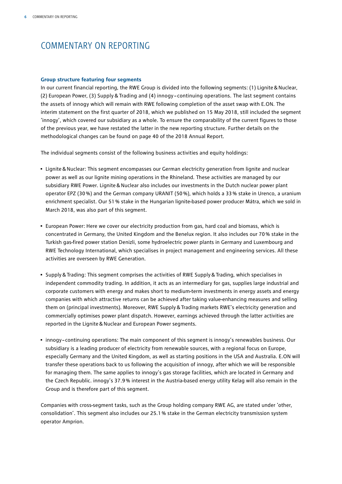### COMMENTARY ON REPORTING

### **Group structure featuring four segments**

In our current financial reporting, the RWE Group is divided into the following segments: (1) Lignite&Nuclear, (2) European Power, (3) Supply & Trading and (4) innogy – continuing operations. The last segment contains the assets of innogy which will remain with RWE following completion of the asset swap with E.ON. The interim statement on the first quarter of 2018, which we published on 15 May 2018, still included the segment 'innogy', which covered our subsidiary as a whole. To ensure the comparability of the current figures to those of the previous year, we have restated the latter in the new reporting structure. Further details on the methodological changes can be found on page 40 of the 2018 Annual Report.

The individual segments consist of the following business activities and equity holdings:

- Lignite&Nuclear: This segment encompasses our German electricity generation from lignite and nuclear power as well as our lignite mining operations in the Rhineland. These activities are managed by our subsidiary RWE Power. Lignite&Nuclear also includes our investments in the Dutch nuclear power plant operator EPZ (30%) and the German company URANIT (50%), which holds a 33% stake in Urenco, a uranium enrichment specialist. Our 51% stake in the Hungarian lignite-based power producer Mátra, which we sold in March 2018, was also part of this segment.
- European Power: Here we cover our electricity production from gas, hard coal and biomass, which is concentrated in Germany, the United Kingdom and the Benelux region. It also includes our 70% stake in the Turkish gas-fired power station Denizli, some hydroelectric power plants in Germany and Luxembourg and RWE Technology International, which specialises in project management and engineering services. All these activities are overseen by RWE Generation.
- Supply&Trading: This segment comprises the activities of RWE Supply&Trading, which specialises in independent commodity trading. In addition, it acts as an intermediary for gas, supplies large industrial and corporate customers with energy and makes short to medium-term investments in energy assets and energy companies with which attractive returns can be achieved after taking value-enhancing measures and selling them on (principal investments). Moreover, RWE Supply&Trading markets RWE's electricity generation and commercially optimises power plant dispatch. However, earnings achieved through the latter activities are reported in the Lignite&Nuclear and European Power segments.
- innogy continuing operations: The main component of this segment is innogy's renewables business. Our subsidiary is a leading producer of electricity from renewable sources, with a regional focus on Europe, especially Germany and the United Kingdom, as well as starting positions in the USA and Australia. E.ON will transfer these operations back to us following the acquisition of innogy, after which we will be responsible for managing them. The same applies to innogy's gas storage facilities, which are located in Germany and the Czech Republic. innogy's 37.9% interest in the Austria-based energy utility Kelag will also remain in the Group and is therefore part of this segment.

Companies with cross-segment tasks, such as the Group holding company RWE AG, are stated under 'other, consolidation'. This segment also includes our 25.1% stake in the German electricity transmission system operator Amprion.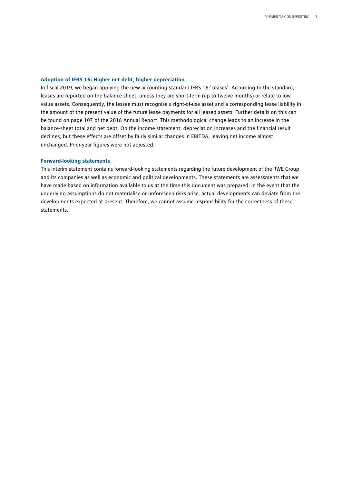### **Adoption of IFRS 16: Higher net debt, higher depreciation**

In fiscal 2019, we began applying the new accounting standard IFRS 16 'Leases'. According to the standard, leases are reported on the balance sheet, unless they are short-term (up to twelve months) or relate to low value assets. Consequently, the lessee must recognise a right-of-use asset and a corresponding lease liability in the amount of the present value of the future lease payments for all leased assets. Further details on this can be found on page 107 of the 2018 Annual Report. This methodological change leads to an increase in the balance-sheet total and net debt. On the income statement, depreciation increases and the financial result declines, but these effects are offset by fairly similar changes in EBITDA, leaving net income almost unchanged. Prior-year figures were not adjusted.

### **Forward-looking statements**

This interim statement contains forward-looking statements regarding the future development of the RWE Group and its companies as well as economic and political developments. These statements are assessments that we have made based on information available to us at the time this document was prepared. In the event that the underlying assumptions do not materialise or unforeseen risks arise, actual developments can deviate from the developments expected at present. Therefore, we cannot assume responsibility for the correctness of these statements.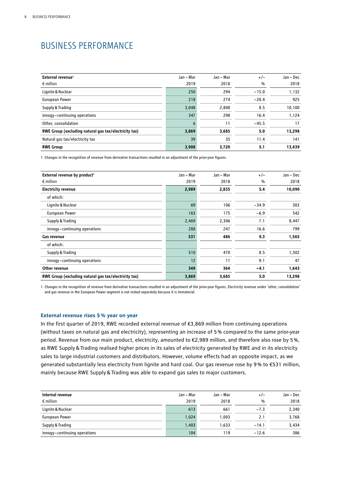### BUSINESS PERFORMANCE

| External revenue <sup>1</sup>                         | Jan – Mar | Jan – Mar | $+/-$   | Jan – Dec |
|-------------------------------------------------------|-----------|-----------|---------|-----------|
| $\epsilon$ million                                    | 2019      | 2018      | %       | 2018      |
| Lignite & Nuclear                                     | 250       | 294       | $-15.0$ | 1,132     |
| <b>European Power</b>                                 | 218       | 274       | $-20.4$ | 925       |
| Supply & Trading                                      | 3,048     | 2,808     | 8.5     | 10,100    |
| innogy-continuing operations                          | 347       | 298       | 16.4    | 1,124     |
| Other, consolidation                                  | 6         | 11        | $-45.5$ | 17        |
| RWE Group (excluding natural gas tax/electricity tax) | 3,869     | 3,685     | 5.0     | 13,298    |
| Natural gas tax/electricity tax                       | 39        | 35        | 11.4    | 141       |
| <b>RWE Group</b>                                      | 3,908     | 3,720     | 5.1     | 13,439    |

1 Changes in the recognition of revenue from derivative transactions resulted in an adjustment of the prior-year figures.

| External revenue by product <sup>1</sup>              | Jan - Mar | Jan - Mar | $+/-$   | Jan - Dec |
|-------------------------------------------------------|-----------|-----------|---------|-----------|
| $\epsilon$ million                                    | 2019      | 2018      | %       | 2018      |
| <b>Electricity revenue</b>                            | 2,989     | 2,835     | 5.4     | 10,090    |
| of which:                                             |           |           |         |           |
| Lignite & Nuclear                                     | 69        | 106       | $-34.9$ | 303       |
| European Power                                        | 163       | 175       | $-6.9$  | 542       |
| Supply & Trading                                      | 2,469     | 2,306     | 7.1     | 8,447     |
| innogy-continuing operations                          | 288       | 247       | 16.6    | 799       |
| Gas revenue                                           | 531       | 486       | 9.3     | 1,565     |
| of which:                                             |           |           |         |           |
| Supply & Trading                                      | 510       | 470       | 8.5     | 1,502     |
| innogy-continuing operations                          | 12        | 11        | 9.1     | 47        |
| Other revenue                                         | 349       | 364       | $-4.1$  | 1,643     |
| RWE Group (excluding natural gas tax/electricity tax) | 3,869     | 3,685     | 5.0     | 13,298    |

1 Changes in the recognition of revenue from derivative transactions resulted in an adjustment of the prior-year figures. Electricity revenue under 'other, consolidation' and gas revenue in the European Power segment is not stated separately because it is immaterial.

### **External revenue rises 5% year on year**

In the first quarter of 2019, RWE recorded external revenue of €3,869 million from continuing operations (without taxes on natural gas and electricity), representing an increase of 5% compared to the same prior-year period. Revenue from our main product, electricity, amounted to €2,989 million, and therefore also rose by 5%, as RWE Supply&Trading realised higher prices in its sales of electricity generated by RWE and in its electricity sales to large industrial customers and distributors. However, volume effects had an opposite impact, as we generated substantially less electricity from lignite and hard coal. Our gas revenue rose by 9% to €531 million, mainly because RWE Supply&Trading was able to expand gas sales to major customers.

| Internal revenue             | Jan - Mar | Jan - Mar | $+/-$   | Jan – Dec |
|------------------------------|-----------|-----------|---------|-----------|
| $\epsilon$ million           | 2019      | 2018      | %       | 2018      |
| Lignite & Nuclear            | 613       | 661       | $-7.3$  | 2,340     |
| European Power               | 1,024     | 1.003     | 2.1     | 3,768     |
| Supply & Trading             | 1,403     | 1,633     | $-14.1$ | 3,434     |
| innogy-continuing operations | 104       | 119       | $-12.6$ | 386       |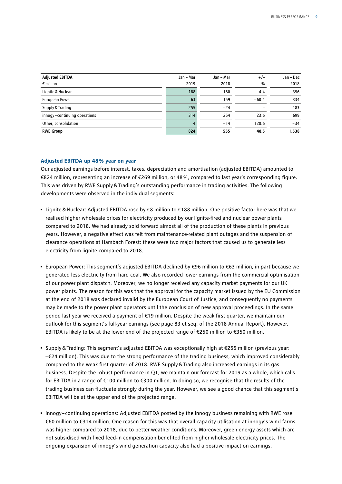| <b>Adjusted EBITDA</b><br>$\epsilon$ million | Jan - Mar<br>2019 | Jan - Mar<br>2018 | $+/-$<br>$\frac{0}{0}$ | Jan – Dec<br>2018 |
|----------------------------------------------|-------------------|-------------------|------------------------|-------------------|
| Lignite & Nuclear                            | 188               | 180               | 4.4                    | 356               |
| European Power                               | 63                | 159               | $-60.4$                | 334               |
| Supply & Trading                             | 255               | $-24$             |                        | 183               |
| innogy-continuing operations                 | 314               | 254               | 23.6                   | 699               |
| Other, consolidation                         | 4                 | $-14$             | 128.6                  | $-34$             |
| <b>RWE Group</b>                             | 824               | 555               | 48.5                   | 1,538             |

### **Adjusted EBITDA up 48% year on year**

Our adjusted earnings before interest, taxes, depreciation and amortisation (adjusted EBITDA) amounted to €824 million, representing an increase of €269 million, or 48%, compared to last year's corresponding figure. This was driven by RWE Supply&Trading's outstanding performance in trading activities. The following developments were observed in the individual segments:

- Lignite&Nuclear: Adjusted EBITDA rose by €8 million to €188 million. One positive factor here was that we realised higher wholesale prices for electricity produced by our lignite-fired and nuclear power plants compared to 2018. We had already sold forward almost all of the production of these plants in previous years. However, a negative effect was felt from maintenance-related plant outages and the suspension of clearance operations at Hambach Forest: these were two major factors that caused us to generate less electricity from lignite compared to 2018.
- European Power: This segment's adjusted EBITDA declined by €96 million to €63 million, in part because we generated less electricity from hard coal. We also recorded lower earnings from the commercial optimisation of our power plant dispatch. Moreover, we no longer received any capacity market payments for our UK power plants. The reason for this was that the approval for the capacity market issued by the EU Commission at the end of 2018 was declared invalid by the European Court of Justice, and consequently no payments may be made to the power plant operators until the conclusion of new approval proceedings. In the same period last year we received a payment of €19 million. Despite the weak first quarter, we maintain our outlook for this segment's full-year earnings (see page 83 et seq. of the 2018 Annual Report). However, EBITDA is likely to be at the lower end of the projected range of €250 million to €350 million.
- Supply&Trading: This segment's adjusted EBITDA was exceptionally high at €255 million (previous year: –€24 million). This was due to the strong performance of the trading business, which improved considerably compared to the weak first quarter of 2018. RWE Supply&Trading also increased earnings in its gas business. Despite the robust performance in Q1, we maintain our forecast for 2019 as a whole, which calls for EBITDA in a range of €100 million to €300 million. In doing so, we recognise that the results of the trading business can fluctuate strongly during the year. However, we see a good chance that this segment's EBITDA will be at the upper end of the projected range.
- innogy continuing operations: Adjusted EBITDA posted by the innogy business remaining with RWE rose €60 million to €314 million. One reason for this was that overall capacity utilisation at innogy's wind farms was higher compared to 2018, due to better weather conditions. Moreover, green energy assets which are not subsidised with fixed feed-in compensation benefited from higher wholesale electricity prices. The ongoing expansion of innogy's wind generation capacity also had a positive impact on earnings.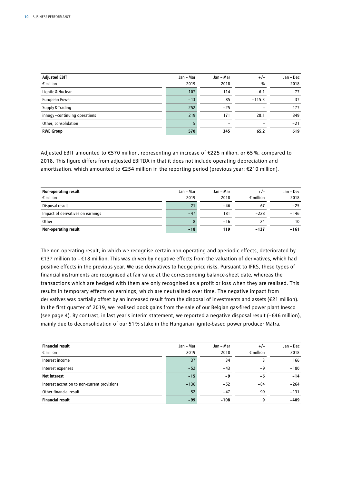| <b>Adjusted EBIT</b>         | Jan - Mar | Jan - Mar | $+/-$    | Jan - Dec |
|------------------------------|-----------|-----------|----------|-----------|
| $\epsilon$ million           | 2019      | 2018      | $\%$     | 2018      |
| Lignite & Nuclear            | 107       | 114       | $-6.1$   | 77        |
| European Power               | $-13$     | 85        | $-115.3$ | 37        |
| Supply & Trading             | 252       | $-25$     |          | 177       |
| innogy-continuing operations | 219       | 171       | 28.1     | 349       |
| Other, consolidation         |           |           |          | $-21$     |
| <b>RWE Group</b>             | 570       | 345       | 65.2     | 619       |

Adjusted EBIT amounted to €570 million, representing an increase of €225 million, or 65 %, compared to 2018. This figure differs from adjusted EBITDA in that it does not include operating depreciation and amortisation, which amounted to €254 million in the reporting period (previous year: €210 million).

| Non-operating result              | Jan - Mar | Jan - Mar | $+/-$              | Jan – Dec |
|-----------------------------------|-----------|-----------|--------------------|-----------|
| $\epsilon$ million                | 2019      | 2018      | $\epsilon$ million | 2018      |
| Disposal result                   | 21        | -46       | 67                 | $-25$     |
| Impact of derivatives on earnings | $-47$     | 181       | $-228$             | $-146$    |
| Other                             | 8         | $-16$     | 24                 | 10        |
| Non-operating result              | $-18$     | 119       | $-137$             | $-161$    |

The non-operating result, in which we recognise certain non-operating and aperiodic effects, deteriorated by €137 million to −€18 million. This was driven by negative effects from the valuation of derivatives, which had positive effects in the previous year. We use derivatives to hedge price risks. Pursuant to IFRS, these types of financial instruments are recognised at fair value at the corresponding balance-sheet date, whereas the transactions which are hedged with them are only recognised as a profit or loss when they are realised. This results in temporary effects on earnings, which are neutralised over time. The negative impact from derivatives was partially offset by an increased result from the disposal of investments and assets (€21 million). In the first quarter of 2019, we realised book gains from the sale of our Belgian gas-fired power plant Inesco (see page 4). By contrast, in last year's interim statement, we reported a negative disposal result (–€46 million), mainly due to deconsolidation of our 51% stake in the Hungarian lignite-based power producer Mátra.

| <b>Financial result</b>                      | Jan – Mar | Jan - Mar | $+/-$              | Jan – Dec |
|----------------------------------------------|-----------|-----------|--------------------|-----------|
| $\epsilon$ million                           | 2019      | 2018      | $\epsilon$ million | 2018      |
| Interest income                              | 37        | 34        |                    | 166       |
| Interest expenses                            | $-52$     | $-43$     | - 9                | $-180$    |
| <b>Net interest</b>                          | $-15$     | $-9$      | -6                 | $-14$     |
| Interest accretion to non-current provisions | $-136$    | $-52$     | $-84$              | $-264$    |
| Other financial result                       | 52        | $-47$     | 99                 | $-131$    |
| <b>Financial result</b>                      | $-99$     | $-108$    | q                  | $-409$    |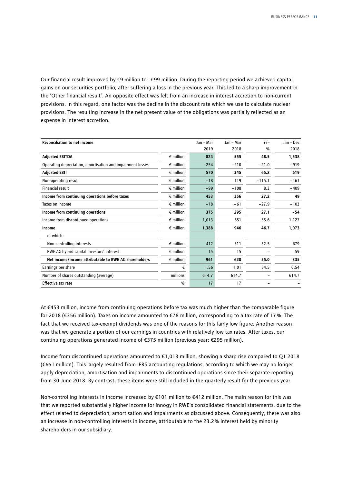Our financial result improved by €9 million to –€99 million. During the reporting period we achieved capital gains on our securities portfolio, after suffering a loss in the previous year. This led to a sharp improvement in the 'Other financial result'. An opposite effect was felt from an increase in interest accretion to non-current provisions. In this regard, one factor was the decline in the discount rate which we use to calculate nuclear provisions. The resulting increase in the net present value of the obligations was partially reflected as an expense in interest accretion.

| <b>Reconciliation to net income</b>                        |                    | Jan - Mar | Jan - Mar | $+/-$    | Jan - Dec |
|------------------------------------------------------------|--------------------|-----------|-----------|----------|-----------|
|                                                            |                    | 2019      | 2018      | %        | 2018      |
| <b>Adjusted EBITDA</b>                                     | $\epsilon$ million | 824       | 555       | 48.5     | 1,538     |
| Operating depreciation, amortisation and impairment losses | $\epsilon$ million | $-254$    | $-210$    | $-21.0$  | $-919$    |
| <b>Adjusted EBIT</b>                                       | $\epsilon$ million | 570       | 345       | 65.2     | 619       |
| Non-operating result                                       | $\epsilon$ million | $-18$     | 119       | $-115.1$ | $-161$    |
| Financial result                                           | $\epsilon$ million | $-99$     | $-108$    | 8.3      | $-409$    |
| Income from continuing operations before taxes             | $\epsilon$ million | 453       | 356       | 27.2     | 49        |
| Taxes on income                                            | $\epsilon$ million | $-78$     | $-61$     | $-27.9$  | $-103$    |
| Income from continuing operations                          | $\epsilon$ million | 375       | 295       | 27.1     | $-54$     |
| Income from discontinued operations                        | $\epsilon$ million | 1,013     | 651       | 55.6     | 1,127     |
| Income                                                     | $\epsilon$ million | 1,388     | 946       | 46.7     | 1,073     |
| of which:                                                  |                    |           |           |          |           |
| Non-controlling interests                                  | $\epsilon$ million | 412       | 311       | 32.5     | 679       |
| RWE AG hybrid capital investors' interest                  | $\epsilon$ million | 15        | 15        |          | 59        |
| Net income/income attributable to RWE AG shareholders      | $\epsilon$ million | 961       | 620       | 55.0     | 335       |
| Earnings per share                                         | €                  | 1.56      | 1.01      | 54.5     | 0.54      |
| Number of shares outstanding (average)                     | millions           | 614.7     | 614.7     |          | 614.7     |
| Effective tax rate                                         | $\frac{0}{0}$      | 17        | 17        |          |           |

At €453 million, income from continuing operations before tax was much higher than the comparable figure for 2018 (€356 million). Taxes on income amounted to €78 million, corresponding to a tax rate of 17%. The fact that we received tax-exempt dividends was one of the reasons for this fairly low figure. Another reason was that we generate a portion of our earnings in countries with relatively low tax rates. After taxes, our continuing operations generated income of €375 million (previous year: €295 million).

Income from discontinued operations amounted to €1,013 million, showing a sharp rise compared to Q1 2018 (€651 million). This largely resulted from IFRS accounting regulations, according to which we may no longer apply depreciation, amortisation and impairments to discontinued operations since their separate reporting from 30 June 2018. By contrast, these items were still included in the quarterly result for the previous year.

Non-controlling interests in income increased by €101 million to €412 million. The main reason for this was that we reported substantially higher income for innogy in RWE's consolidated financial statements, due to the effect related to depreciation, amortisation and impairments as discussed above. Consequently, there was also an increase in non-controlling interests in income, attributable to the 23.2% interest held by minority shareholders in our subsidiary.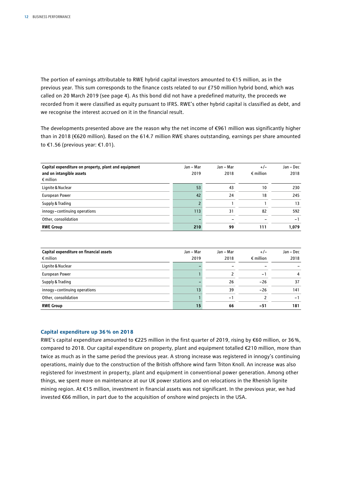The portion of earnings attributable to RWE hybrid capital investors amounted to €15 million, as in the previous year. This sum corresponds to the finance costs related to our £750 million hybrid bond, which was called on 20 March 2019 (see page 4). As this bond did not have a predefined maturity, the proceeds we recorded from it were classified as equity pursuant to IFRS. RWE's other hybrid capital is classified as debt, and we recognise the interest accrued on it in the financial result.

The developments presented above are the reason why the net income of €961 million was significantly higher than in 2018 (€620 million). Based on the 614.7 million RWE shares outstanding, earnings per share amounted to €1.56 (previous year: €1.01).

| Capital expenditure on property, plant and equipment | Jan - Mar | Jan - Mar | $+/-$              | Jan – Dec |
|------------------------------------------------------|-----------|-----------|--------------------|-----------|
| and on intangible assets                             | 2019      | 2018      | $\epsilon$ million | 2018      |
| $\epsilon$ million                                   |           |           |                    |           |
| Lignite & Nuclear                                    | 53        | 43        | 10                 | 230       |
| European Power                                       | 42        | 24        | 18                 | 245       |
| Supply & Trading                                     |           |           |                    | 13        |
| innogy-continuing operations                         | 113       | 31        | 82                 | 592       |
| Other, consolidation                                 |           |           |                    | - 1       |
| <b>RWE Group</b>                                     | 210       | 99        | 111                | 1,079     |

| Capital expenditure on financial assets | Jan – Mar | Jan - Mar                | $+/-$                    | Jan - Dec |
|-----------------------------------------|-----------|--------------------------|--------------------------|-----------|
| $\epsilon$ million                      | 2019      | 2018                     | $\epsilon$ million       | 2018      |
| Lignite & Nuclear                       |           |                          | $\overline{\phantom{0}}$ |           |
| <b>European Power</b>                   |           |                          | -                        | 4         |
| Supply & Trading                        |           | 26                       | $-26$                    | 37        |
| innogy-continuing operations            | 13        | 39                       | $-26$                    | 141       |
| Other, consolidation                    |           | $\overline{\phantom{0}}$ |                          | - 1       |
| <b>RWE Group</b>                        | 15        | 66                       | $-51$                    | 181       |

### **Capital expenditure up 36% on 2018**

RWE's capital expenditure amounted to €225 million in the first quarter of 2019, rising by €60 million, or 36%, compared to 2018. Our capital expenditure on property, plant and equipment totalled €210 million, more than twice as much as in the same period the previous year. A strong increase was registered in innogy's continuing operations, mainly due to the construction of the British offshore wind farm Triton Knoll. An increase was also registered for investment in property, plant and equipment in conventional power generation. Among other things, we spent more on maintenance at our UK power stations and on relocations in the Rhenish lignite mining region. At €15 million, investment in financial assets was not significant. In the previous year, we had invested €66 million, in part due to the acquisition of onshore wind projects in the USA.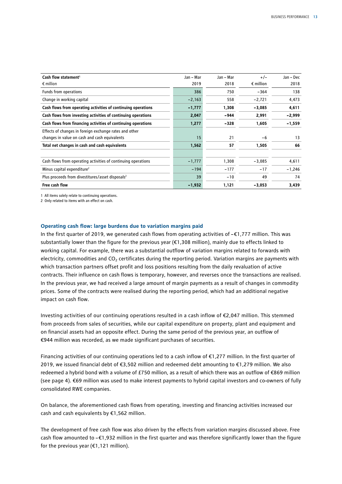| Cash flow statement <sup>1</sup>                              | Jan – Mar | Jan – Mar | $+/-$              | Jan – Dec |
|---------------------------------------------------------------|-----------|-----------|--------------------|-----------|
| $\epsilon$ million                                            | 2019      | 2018      | $\epsilon$ million | 2018      |
| Funds from operations                                         | 386       | 750       | $-364$             | 138       |
| Change in working capital                                     | $-2,163$  | 558       | $-2,721$           | 4,473     |
| Cash flows from operating activities of continuing operations | $-1,777$  | 1,308     | $-3,085$           | 4,611     |
| Cash flows from investing activities of continuing operations | 2,047     | -944      | 2,991              | $-2,999$  |
| Cash flows from financing activities of continuing operations | 1,277     | $-328$    | 1,605              | $-1,559$  |
| Effects of changes in foreign exchange rates and other        |           |           |                    |           |
| changes in value on cash and cash equivalents                 | 15        | 21        | -6                 | 13        |
| Total net changes in cash and cash equivalents                | 1,562     | 57        | 1,505              | 66        |
| Cash flows from operating activities of continuing operations | $-1,777$  | 1,308     | $-3,085$           | 4,611     |
| Minus capital expenditure <sup>2</sup>                        | $-194$    | $-177$    | $-17$              | $-1,246$  |
| Plus proceeds from divestitures/asset disposals <sup>2</sup>  | 39        | $-10$     | 49                 | 74        |
| Free cash flow                                                | $-1,932$  | 1,121     | $-3,053$           | 3,439     |

1 All items solely relate to continuing operations.

2 Only related to items with an effect on cash.

### **Operating cash flow: large burdens due to variation margins paid**

In the first quarter of 2019, we generated cash flows from operating activities of –€1,777 million. This was substantially lower than the figure for the previous year (€1,308 million), mainly due to effects linked to working capital. For example, there was a substantial outflow of variation margins related to forwards with electricity, commodities and  $CO<sub>2</sub>$  certificates during the reporting period. Variation margins are payments with which transaction partners offset profit and loss positions resulting from the daily revaluation of active contracts. Their influence on cash flows is temporary, however, and reverses once the transactions are realised. In the previous year, we had received a large amount of margin payments as a result of changes in commodity prices. Some of the contracts were realised during the reporting period, which had an additional negative impact on cash flow.

Investing activities of our continuing operations resulted in a cash inflow of €2,047 million. This stemmed from proceeds from sales of securities, while our capital expenditure on property, plant and equipment and on financial assets had an opposite effect. During the same period of the previous year, an outflow of €944 million was recorded, as we made significant purchases of securities.

Financing activities of our continuing operations led to a cash inflow of €1,277 million. In the first quarter of 2019, we issued financial debt of €3,502 million and redeemed debt amounting to €1,279 million. We also redeemed a hybrid bond with a volume of £750 million, as a result of which there was an outflow of €869 million (see page 4). €69 million was used to make interest payments to hybrid capital investors and co-owners of fully consolidated RWE companies.

On balance, the aforementioned cash flows from operating, investing and financing activities increased our cash and cash equivalents by €1,562 million.

The development of free cash flow was also driven by the effects from variation margins discussed above. Free cash flow amounted to –€1,932 million in the first quarter and was therefore significantly lower than the figure for the previous year ( $\epsilon$ 1,121 million).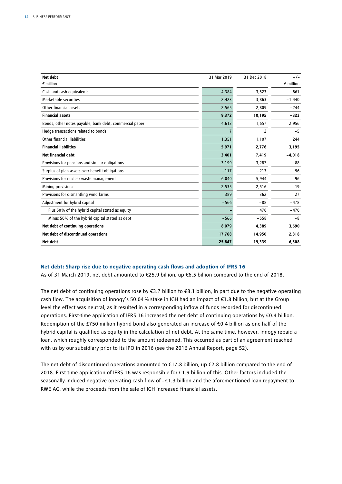| Net debt                                                | 31 Mar 2019    | 31 Dec 2018 | $+/-$              |
|---------------------------------------------------------|----------------|-------------|--------------------|
| $\epsilon$ million                                      |                |             | $\epsilon$ million |
| Cash and cash equivalents                               | 4,384          | 3,523       | 861                |
| Marketable securities                                   | 2,423          | 3,863       | $-1,440$           |
| Other financial assets                                  | 2,565          | 2,809       | $-244$             |
| <b>Financial assets</b>                                 | 9,372          | 10,195      | $-823$             |
| Bonds, other notes payable, bank debt, commercial paper | 4,613          | 1,657       | 2,956              |
| Hedge transactions related to bonds                     | $\overline{7}$ | 12          | $-5$               |
| Other financial liabilities                             | 1,351          | 1,107       | 244                |
| <b>Financial liabilities</b>                            | 5,971          | 2,776       | 3,195              |
| Net financial debt                                      | 3,401          | 7,419       | $-4,018$           |
| Provisions for pensions and similar obligations         | 3,199          | 3,287       | $-88$              |
| Surplus of plan assets over benefit obligations         | $-117$         | $-213$      | 96                 |
| Provisions for nuclear waste management                 | 6,040          | 5,944       | 96                 |
| Mining provisions                                       | 2,535          | 2,516       | 19                 |
| Provisions for dismantling wind farms                   | 389            | 362         | 27                 |
| Adjustment for hybrid capital                           | $-566$         | $-88$       | $-478$             |
| Plus 50% of the hybrid capital stated as equity         |                | 470         | $-470$             |
| Minus 50% of the hybrid capital stated as debt          | $-566$         | $-558$      | $-8$               |
| Net debt of continuing operations                       | 8,079          | 4,389       | 3,690              |
| Net debt of discontinued operations                     | 17,768         | 14,950      | 2,818              |
| Net debt                                                | 25,847         | 19,339      | 6,508              |

### **Net debt: Sharp rise due to negative operating cash flows and adoption of IFRS 16**

As of 31 March 2019, net debt amounted to €25.9 billion, up €6.5 billion compared to the end of 2018.

The net debt of continuing operations rose by €3.7 billion to €8.1 billion, in part due to the negative operating cash flow. The acquisition of innogy's 50.04% stake in IGH had an impact of €1.8 billion, but at the Group level the effect was neutral, as it resulted in a corresponding inflow of funds recorded for discontinued operations. First-time application of IFRS 16 increased the net debt of continuing operations by €0.4 billion. Redemption of the £750 million hybrid bond also generated an increase of €0.4 billion as one half of the hybrid capital is qualified as equity in the calculation of net debt. At the same time, however, innogy repaid a loan, which roughly corresponded to the amount redeemed. This occurred as part of an agreement reached with us by our subsidiary prior to its IPO in 2016 (see the 2016 Annual Report, page 52).

The net debt of discontinued operations amounted to  $E17.8$  billion, up  $E2.8$  billion compared to the end of 2018. First-time application of IFRS 16 was responsible for €1.9 billion of this. Other factors included the seasonally-induced negative operating cash flow of –€1.3 billion and the aforementioned loan repayment to RWE AG, while the proceeds from the sale of IGH increased financial assets.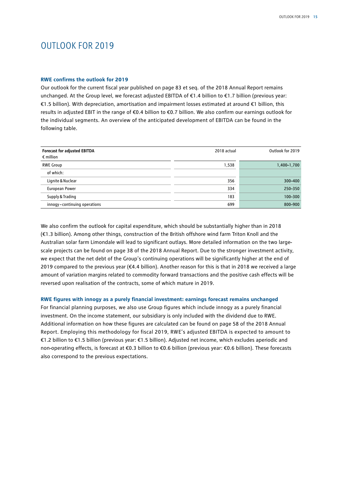### OUTLOOK FOR 2019

### **RWE confirms the outlook for 2019**

Our outlook for the current fiscal year published on page 83 et seq. of the 2018 Annual Report remains unchanged. At the Group level, we forecast adjusted EBITDA of €1.4 billion to €1.7 billion (previous year: €1.5 billion). With depreciation, amortisation and impairment losses estimated at around €1 billion, this results in adjusted EBIT in the range of €0.4 billion to €0.7 billion. We also confirm our earnings outlook for the individual segments. An overview of the anticipated development of EBITDA can be found in the following table.

| <b>Forecast for adjusted EBITDA</b> | 2018 actual | Outlook for 2019 |
|-------------------------------------|-------------|------------------|
| $\epsilon$ million                  |             |                  |
| <b>RWE Group</b>                    | 1,538       | 1,400-1,700      |
| of which:                           |             |                  |
| Lignite & Nuclear                   | 356         | 300-400          |
| European Power                      | 334         | 250-350          |
| Supply & Trading                    | 183         | 100-300          |
| innogy-continuing operations        | 699         | 800-900          |

We also confirm the outlook for capital expenditure, which should be substantially higher than in 2018 (€1.3 billion). Among other things, construction of the British offshore wind farm Triton Knoll and the Australian solar farm Limondale will lead to significant outlays. More detailed information on the two largescale projects can be found on page 38 of the 2018 Annual Report. Due to the stronger investment activity, we expect that the net debt of the Group's continuing operations will be significantly higher at the end of 2019 compared to the previous year (€4.4 billion). Another reason for this is that in 2018 we received a large amount of variation margins related to commodity forward transactions and the positive cash effects will be reversed upon realisation of the contracts, some of which mature in 2019.

### **RWE figures with innogy as a purely financial investment: earnings forecast remains unchanged**

For financial planning purposes, we also use Group figures which include innogy as a purely financial investment. On the income statement, our subsidiary is only included with the dividend due to RWE. Additional information on how these figures are calculated can be found on page 58 of the 2018 Annual Report. Employing this methodology for fiscal 2019, RWE's adjusted EBITDA is expected to amount to €1.2 billion to €1.5 billion (previous year: €1.5 billion). Adjusted net income, which excludes aperiodic and non-operating effects, is forecast at €0.3 billion to €0.6 billion (previous year: €0.6 billion). These forecasts also correspond to the previous expectations.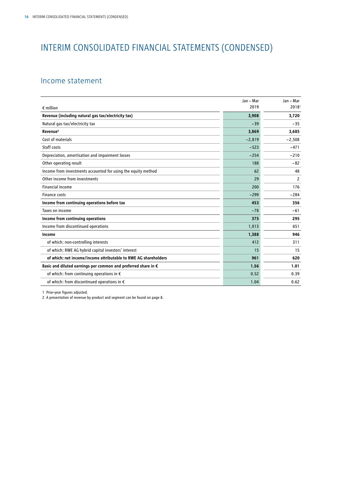### INTERIM CONSOLIDATED FINANCIAL STATEMENTS (CONDENSED)

### Income statement

|                                                                         | Jan - Mar | Jan - Mar         |
|-------------------------------------------------------------------------|-----------|-------------------|
| $\epsilon$ million                                                      | 2019      | 2018 <sup>1</sup> |
| Revenue (including natural gas tax/electricity tax)                     | 3,908     | 3,720             |
| Natural gas tax/electricity tax                                         | $-39$     | $-35$             |
| Revenue <sup>2</sup>                                                    | 3,869     | 3,685             |
| Cost of materials                                                       | $-2,819$  | $-2,508$          |
| Staff costs                                                             | $-523$    | $-471$            |
| Depreciation, amortisation and impairment losses                        | $-254$    | $-210$            |
| Other operating result                                                  | 188       | $-82$             |
| Income from investments accounted for using the equity method           | 62        | 48                |
| Other income from investments                                           | 29        | $\overline{c}$    |
| <b>Financial income</b>                                                 | 200       | 176               |
| Finance costs                                                           | $-299$    | $-284$            |
| Income from continuing operations before tax                            | 453       | 356               |
| Taxes on income                                                         | $-78$     | $-61$             |
| Income from continuing operations                                       | 375       | 295               |
| Income from discontinued operations                                     | 1,013     | 651               |
| Income                                                                  | 1,388     | 946               |
| of which: non-controlling interests                                     | 412       | 311               |
| of which: RWE AG hybrid capital investors' interest                     | 15        | 15                |
| of which: net income/income attributable to RWE AG shareholders         | 961       | 620               |
| Basic and diluted earnings per common and preferred share in $\epsilon$ | 1.56      | 1.01              |
| of which: from continuing operations in $\epsilon$                      | 0.52      | 0.39              |
| of which: from discontinued operations in €                             | 1.04      | 0.62              |

1 Prior-year figures adjusted.

2 A presentation of revenue by product and segment can be found on page 8.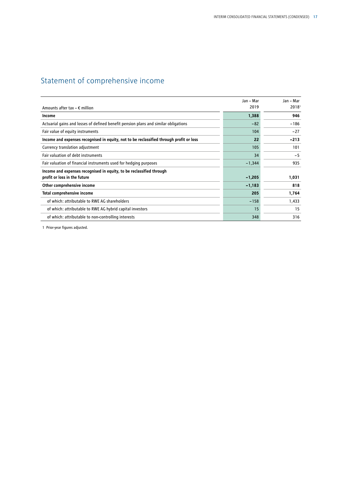### Statement of comprehensive income

|                                                                                         | Jan - Mar | Jan – Mar         |
|-----------------------------------------------------------------------------------------|-----------|-------------------|
| Amounts after tax $- \epsilon$ million                                                  | 2019      | 2018 <sup>1</sup> |
| Income                                                                                  | 1,388     | 946               |
| Actuarial gains and losses of defined benefit pension plans and similar obligations     | $-82$     | $-186$            |
| Fair value of equity instruments                                                        | 104       | $-27$             |
| Income and expenses recognised in equity, not to be reclassified through profit or loss | 22        | $-213$            |
| Currency translation adjustment                                                         | 105       | 101               |
| Fair valuation of debt instruments                                                      | 34        | $-5$              |
| Fair valuation of financial instruments used for hedging purposes                       | $-1,344$  | 935               |
| Income and expenses recognised in equity, to be reclassified through                    |           |                   |
| profit or loss in the future                                                            | $-1,205$  | 1,031             |
| Other comprehensive income                                                              | $-1,183$  | 818               |
| Total comprehensive income                                                              | 205       | 1,764             |
| of which: attributable to RWE AG shareholders                                           | $-158$    | 1,433             |
| of which: attributable to RWE AG hybrid capital investors                               | 15        | 15                |
| of which: attributable to non-controlling interests                                     | 348       | 316               |

1 Prior-year figures adjusted.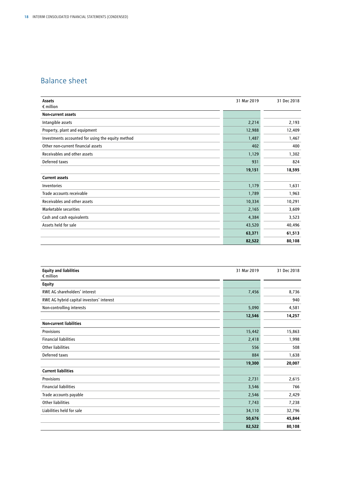### Balance sheet

| Assets                                            | 31 Mar 2019 | 31 Dec 2018 |
|---------------------------------------------------|-------------|-------------|
| $\epsilon$ million                                |             |             |
| Non-current assets                                |             |             |
| Intangible assets                                 | 2,214       | 2,193       |
| Property, plant and equipment                     | 12,988      | 12,409      |
| Investments accounted for using the equity method | 1,487       | 1,467       |
| Other non-current financial assets                | 402         | 400         |
| Receivables and other assets                      | 1,129       | 1,302       |
| Deferred taxes                                    | 931         | 824         |
|                                                   | 19,151      | 18,595      |
| <b>Current assets</b>                             |             |             |
| Inventories                                       | 1,179       | 1,631       |
| Trade accounts receivable                         | 1,789       | 1,963       |
| Receivables and other assets                      | 10,334      | 10,291      |
| Marketable securities                             | 2,165       | 3,609       |
| Cash and cash equivalents                         | 4,384       | 3,523       |
| Assets held for sale                              | 43,520      | 40,496      |
|                                                   | 63,371      | 61,513      |
|                                                   | 82,522      | 80,108      |

| <b>Equity and liabilities</b><br>$\epsilon$ million | 31 Mar 2019 | 31 Dec 2018 |
|-----------------------------------------------------|-------------|-------------|
| <b>Equity</b>                                       |             |             |
| <b>RWE AG shareholders' interest</b>                | 7,456       | 8,736       |
| RWE AG hybrid capital investors' interest           |             | 940         |
| Non-controlling interests                           | 5,090       | 4,581       |
|                                                     | 12,546      | 14,257      |
| <b>Non-current liabilities</b>                      |             |             |
| Provisions                                          | 15,442      | 15,863      |
| <b>Financial liabilities</b>                        | 2,418       | 1,998       |
| <b>Other liabilities</b>                            | 556         | 508         |
| Deferred taxes                                      | 884         | 1,638       |
|                                                     | 19,300      | 20,007      |
| <b>Current liabilities</b>                          |             |             |
| <b>Provisions</b>                                   | 2,731       | 2,615       |
| <b>Financial liabilities</b>                        | 3,546       | 766         |
| Trade accounts payable                              | 2,546       | 2,429       |
| <b>Other liabilities</b>                            | 7,743       | 7,238       |
| Liabilities held for sale                           | 34,110      | 32,796      |
|                                                     | 50,676      | 45,844      |
|                                                     | 82,522      | 80,108      |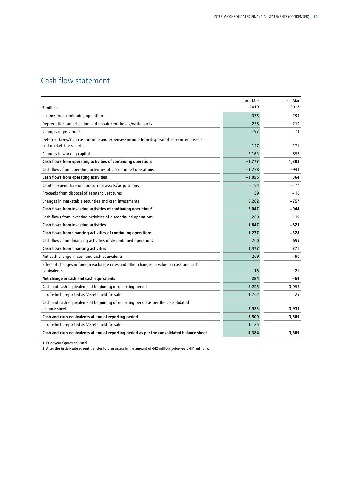### Cash flow statement

|                                                                                                                     | Jan - Mar | Jan - Mar |
|---------------------------------------------------------------------------------------------------------------------|-----------|-----------|
| $\epsilon$ million                                                                                                  | 2019      | 2018      |
| Income from continuing operations                                                                                   | 375       | 295       |
| Depreciation, amortisation and impairment losses/write-backs                                                        | 255       | 210       |
| Changes in provisions                                                                                               | $-97$     | 74        |
| Deferred taxes/non-cash income and expenses/income from disposal of non-current assets<br>and marketable securities | $-147$    | 171       |
| Changes in working capital                                                                                          | $-2,163$  | 558       |
| Cash flows from operating activities of continuing operations                                                       | $-1,777$  | 1,308     |
| Cash flows from operating activities of discontinued operations                                                     | $-1,278$  | $-944$    |
| Cash flows from operating activities                                                                                | $-3,055$  | 364       |
| Capital expenditure on non-current assets/acquisitions                                                              | $-194$    | $-177$    |
| Proceeds from disposal of assets/divestitures                                                                       | 39        | $-10$     |
| Changes in marketable securities and cash investments                                                               | 2,202     | $-757$    |
| Cash flows from investing activities of continuing operations <sup>2</sup>                                          | 2,047     | -944      |
| Cash flows from investing activities of discontinued operations                                                     | $-200$    | 119       |
| Cash flows from investing activities                                                                                | 1,847     | -825      |
| Cash flows from financing activities of continuing operations                                                       | 1,277     | -328      |
| Cash flows from financing activities of discontinued operations                                                     | 200       | 699       |
| Cash flows from financing activities                                                                                | 1,477     | 371       |
| Net cash change in cash and cash equivalents                                                                        | 269       | -90       |
| Effect of changes in foreign exchange rates and other changes in value on cash and cash<br>equivalents              | 15        | 21        |
| Net change in cash and cash equivalents                                                                             | 284       | -69       |
| Cash and cash equivalents at beginning of reporting period                                                          | 5,225     | 3,958     |
| of which: reported as 'Assets held for sale'                                                                        | 1,702     | 25        |
| Cash and cash equivalents at beginning of reporting period as per the consolidated                                  |           |           |
| balance sheet                                                                                                       | 3,523     | 3,933     |
| Cash and cash equivalents at end of reporting period                                                                | 5,509     | 3,889     |
| of which: reported as 'Assets held for sale'                                                                        | 1,125     |           |
| Cash and cash equivalents at end of reporting period as per the consolidated balance sheet                          | 4,384     | 3.889     |

1 Prior-year figures adjusted.

2 After the initial/subsequent transfer to plan assets in the amount of €42 million (prior-year: €41 million).